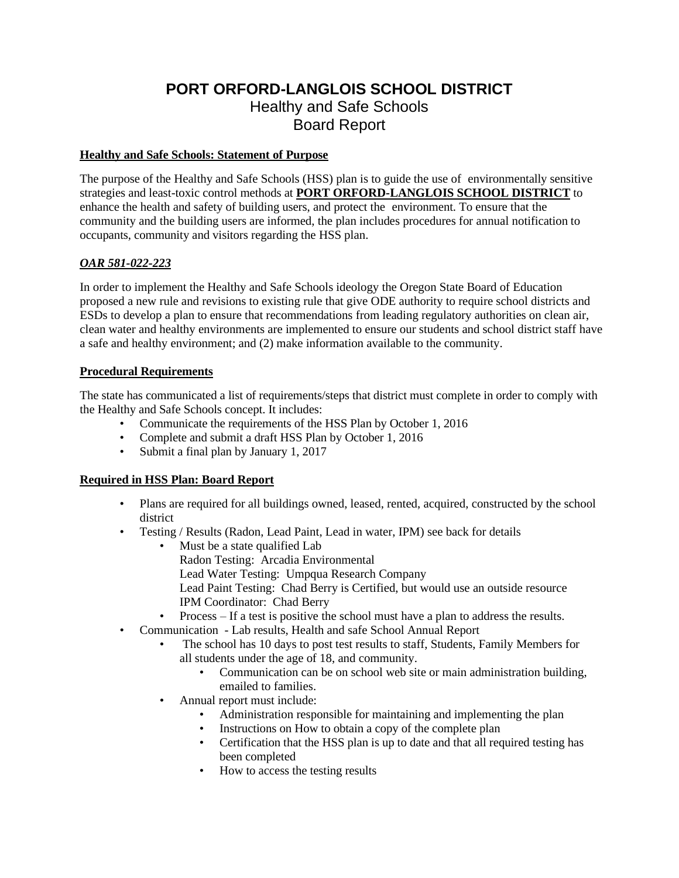# **PORT ORFORD-LANGLOIS SCHOOL DISTRICT** Healthy and Safe Schools Board Report

## **Healthy and Safe Schools: Statement of Purpose**

The purpose of the Healthy and Safe Schools (HSS) plan is to guide the use of environmentally sensitive strategies and least-toxic control methods at **PORT ORFORD-LANGLOIS SCHOOL DISTRICT** to enhance the health and safety of building users, and protect the environment. To ensure that the community and the building users are informed, the plan includes procedures for annual notification to occupants, community and visitors regarding the HSS plan.

## *OAR 581-022-223*

In order to implement the Healthy and Safe Schools ideology the Oregon State Board of Education proposed a new rule and revisions to existing rule that give ODE authority to require school districts and ESDs to develop a plan to ensure that recommendations from leading regulatory authorities on clean air, clean water and healthy environments are implemented to ensure our students and school district staff have a safe and healthy environment; and (2) make information available to the community.

## **Procedural Requirements**

The state has communicated a list of requirements/steps that district must complete in order to comply with the Healthy and Safe Schools concept. It includes:

- Communicate the requirements of the HSS Plan by October 1, 2016
- Complete and submit a draft HSS Plan by October 1, 2016
- Submit a final plan by January 1, 2017

## **Required in HSS Plan: Board Report**

- Plans are required for all buildings owned, leased, rented, acquired, constructed by the school district
- Testing / Results (Radon, Lead Paint, Lead in water, IPM) see back for details
	- Must be a state qualified Lab Radon Testing: Arcadia Environmental Lead Water Testing: Umpqua Research Company Lead Paint Testing: Chad Berry is Certified, but would use an outside resource IPM Coordinator: Chad Berry
	- Process If a test is positive the school must have a plan to address the results.
- Communication Lab results, Health and safe School Annual Report
	- The school has 10 days to post test results to staff, Students, Family Members for all students under the age of 18, and community.
		- Communication can be on school web site or main administration building, emailed to families.
	- Annual report must include:
		- Administration responsible for maintaining and implementing the plan
		- Instructions on How to obtain a copy of the complete plan
		- Certification that the HSS plan is up to date and that all required testing has been completed
		- How to access the testing results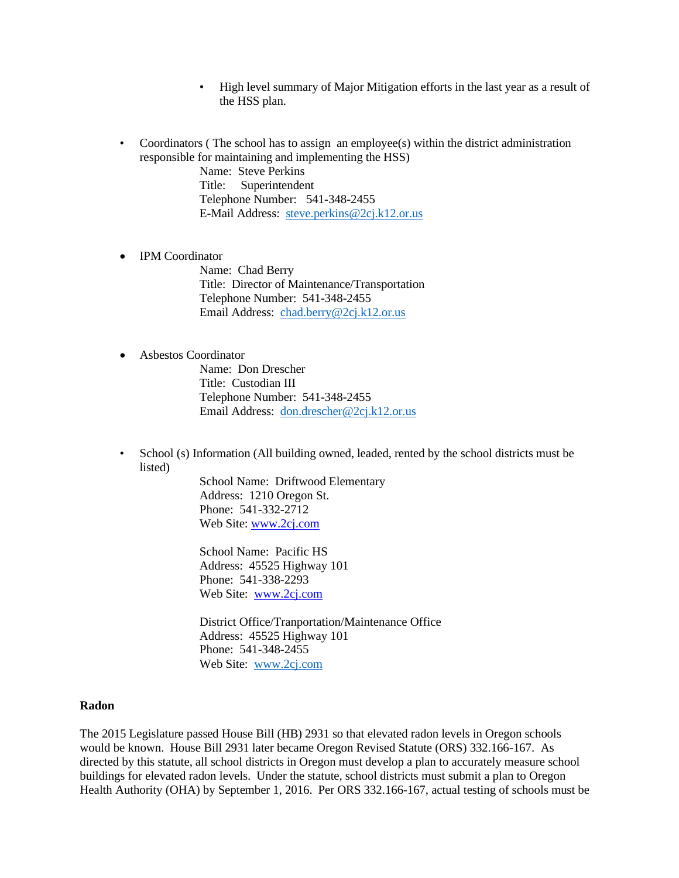- High level summary of Major Mitigation efforts in the last year as a result of the HSS plan.
- Coordinators (The school has to assign an employee(s) within the district administration responsible for maintaining and implementing the HSS)

Name: Steve Perkins Title:Superintendent Telephone Number: 541-348-2455 E-Mail Address: [steve.perkins@2cj.k12.or.us](mailto:steve.perkins@2cj.k12.or.us)

• IPM Coordinator

Name: Chad Berry Title: Director of Maintenance/Transportation Telephone Number: 541-348-2455 Email Address: [chad.berry@2cj.k12.or.us](mailto:chad.berry@2cj.k12.or.us)

#### • Asbestos Coordinator

Name: Don Drescher Title: Custodian III Telephone Number: 541-348-2455 Email Address: [don.drescher@2cj.k12.or.us](mailto:don.drescher@2cj.k12.or.us)

• School (s) Information (All building owned, leaded, rented by the school districts must be listed)

> School Name: Driftwood Elementary Address: 1210 Oregon St. Phone: 541-332-2712 Web Site: [www.2cj.com](http://www.2cj.com/)

School Name: Pacific HS Address: 45525 Highway 101 Phone: 541-338-2293 Web Site: [www.2cj.com](http://www.2cj.com/)

District Office/Tranportation/Maintenance Office Address: 45525 Highway 101 Phone: 541-348-2455 Web Site: [www.2cj.com](http://www.2cj.com/)

#### **Radon**

The 2015 Legislature passed House Bill (HB) 2931 so that elevated radon levels in Oregon schools would be known. House Bill 2931 later became Oregon Revised Statute (ORS) 332.166-167. As directed by this statute, all school districts in Oregon must develop a plan to accurately measure school buildings for elevated radon levels. Under the statute, school districts must submit a plan to Oregon Health Authority (OHA) by September 1, 2016. Per ORS 332.166-167, actual testing of schools must be